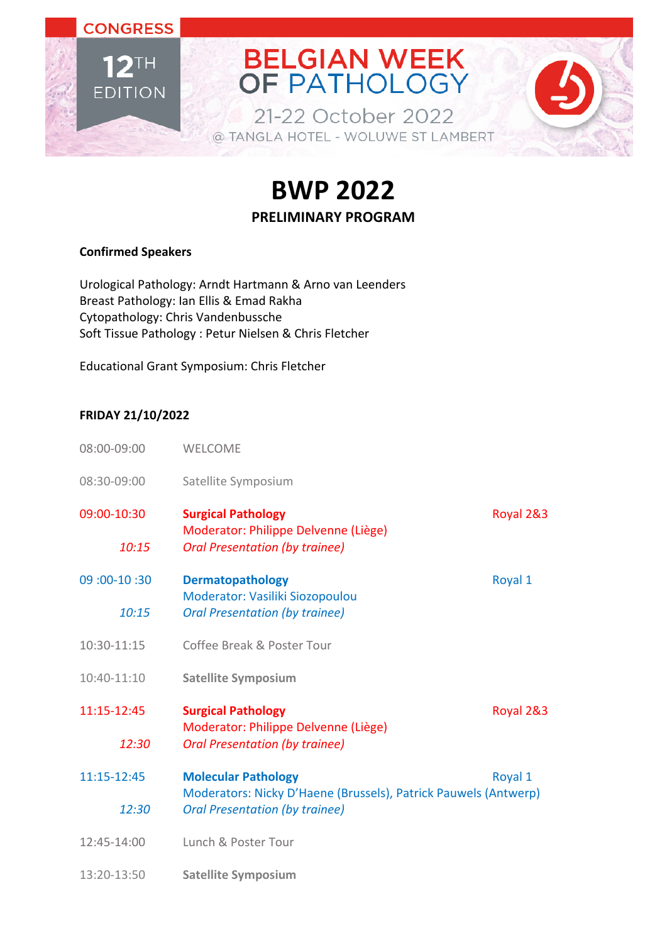

**BWP 2022**

### **PRELIMINARY PROGRAM**

#### **Confirmed Speakers**

Urological Pathology: Arndt Hartmann & Arno van Leenders Breast Pathology: Ian Ellis & Emad Rakha Cytopathology: Chris Vandenbussche Soft Tissue Pathology : Petur Nielsen & Chris Fletcher

Educational Grant Symposium: Chris Fletcher

### **FRIDAY 21/10/2022**

| 08:00-09:00   | <b>WELCOME</b>                                                                                |           |
|---------------|-----------------------------------------------------------------------------------------------|-----------|
| 08:30-09:00   | Satellite Symposium                                                                           |           |
| 09:00-10:30   | <b>Surgical Pathology</b>                                                                     | Royal 2&3 |
| 10:15         | Moderator: Philippe Delvenne (Liège)<br><b>Oral Presentation (by trainee)</b>                 |           |
| 09: 00-10: 00 | <b>Dermatopathology</b>                                                                       | Royal 1   |
| 10:15         | Moderator: Vasiliki Siozopoulou<br><b>Oral Presentation (by trainee)</b>                      |           |
| 10:30-11:15   | Coffee Break & Poster Tour                                                                    |           |
| 10:40-11:10   | <b>Satellite Symposium</b>                                                                    |           |
| 11:15-12:45   | <b>Surgical Pathology</b><br>Moderator: Philippe Delvenne (Liège)                             | Royal 2&3 |
| 12:30         | <b>Oral Presentation (by trainee)</b>                                                         |           |
| 11:15-12:45   | <b>Molecular Pathology</b><br>Moderators: Nicky D'Haene (Brussels), Patrick Pauwels (Antwerp) | Royal 1   |
| 12:30         | <b>Oral Presentation (by trainee)</b>                                                         |           |
| 12:45-14:00   | Lunch & Poster Tour                                                                           |           |
| 13:20-13:50   | <b>Satellite Symposium</b>                                                                    |           |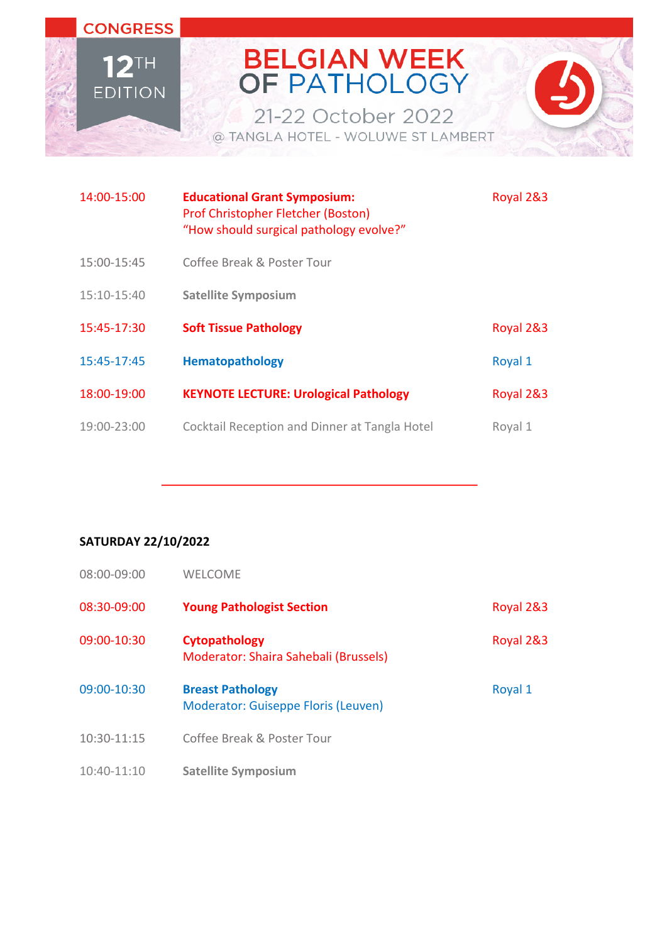# BELGIAN WEEK<br>OF PATHOLOGY

21-22 October 2022 @ TANGLA HOTEL - WOLUWE ST LAMBERT



| 14:00-15:00 | <b>Educational Grant Symposium:</b><br>Prof Christopher Fletcher (Boston)<br>"How should surgical pathology evolve?" | Royal 2&3 |
|-------------|----------------------------------------------------------------------------------------------------------------------|-----------|
| 15:00-15:45 | Coffee Break & Poster Tour                                                                                           |           |
| 15:10-15:40 | <b>Satellite Symposium</b>                                                                                           |           |
| 15:45-17:30 | <b>Soft Tissue Pathology</b>                                                                                         | Royal 2&3 |
| 15:45-17:45 | <b>Hematopathology</b>                                                                                               | Royal 1   |
| 18:00-19:00 | <b>KEYNOTE LECTURE: Urological Pathology</b>                                                                         | Royal 2&3 |
| 19:00-23:00 | Cocktail Reception and Dinner at Tangla Hotel                                                                        | Royal 1   |

### **SATURDAY 22/10/2022**

**CONGRESS** 

 $12$ <sup>TH</sup>

**EDITION** 

| 08:00-09:00 | <b>WELCOME</b>                                                 |           |
|-------------|----------------------------------------------------------------|-----------|
| 08:30-09:00 | <b>Young Pathologist Section</b>                               | Royal 2&3 |
| 09:00-10:30 | Cytopathology<br>Moderator: Shaira Sahebali (Brussels)         | Royal 2&3 |
| 09:00-10:30 | <b>Breast Pathology</b><br>Moderator: Guiseppe Floris (Leuven) | Royal 1   |
| 10:30-11:15 | Coffee Break & Poster Tour                                     |           |
| 10:40-11:10 | <b>Satellite Symposium</b>                                     |           |